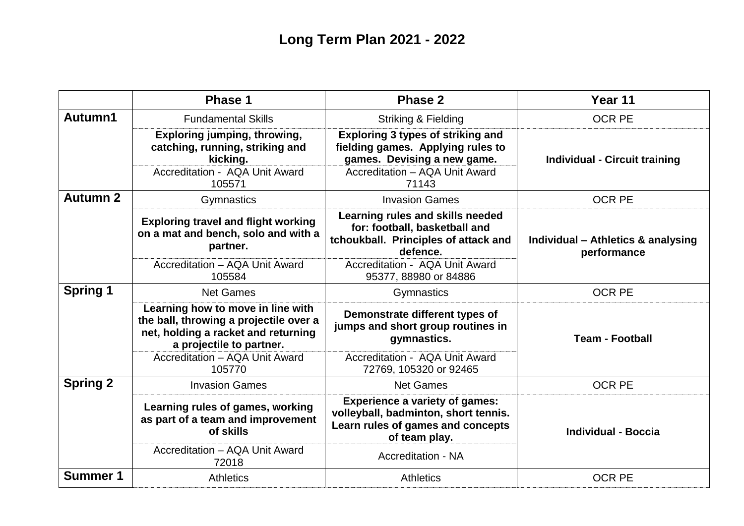|                 | <b>Phase 1</b>                                                                                                                                 | <b>Phase 2</b>                                                                                                                                 | Year 11                                           |
|-----------------|------------------------------------------------------------------------------------------------------------------------------------------------|------------------------------------------------------------------------------------------------------------------------------------------------|---------------------------------------------------|
| Autumn1         | <b>Fundamental Skills</b>                                                                                                                      | <b>Striking &amp; Fielding</b>                                                                                                                 | <b>OCR PE</b>                                     |
|                 | <b>Exploring jumping, throwing,</b><br>catching, running, striking and<br>kicking.<br>Accreditation - AQA Unit Award                           | <b>Exploring 3 types of striking and</b><br>fielding games. Applying rules to<br>games. Devising a new game.<br>Accreditation - AQA Unit Award | <b>Individual - Circuit training</b>              |
|                 | 105571                                                                                                                                         | 71143                                                                                                                                          |                                                   |
| <b>Autumn 2</b> | Gymnastics                                                                                                                                     | <b>Invasion Games</b>                                                                                                                          | <b>OCR PE</b>                                     |
|                 | <b>Exploring travel and flight working</b><br>on a mat and bench, solo and with a<br>partner.                                                  | Learning rules and skills needed<br>for: football, basketball and<br>tchoukball. Principles of attack and<br>defence.                          | Individual - Athletics & analysing<br>performance |
|                 | Accreditation - AQA Unit Award<br>105584                                                                                                       | Accreditation - AQA Unit Award<br>95377, 88980 or 84886                                                                                        |                                                   |
| <b>Spring 1</b> | <b>Net Games</b>                                                                                                                               | Gymnastics                                                                                                                                     | <b>OCR PE</b>                                     |
|                 | Learning how to move in line with<br>the ball, throwing a projectile over a<br>net, holding a racket and returning<br>a projectile to partner. | Demonstrate different types of<br>jumps and short group routines in<br>gymnastics.                                                             | <b>Team - Football</b>                            |
|                 | Accreditation - AQA Unit Award<br>105770                                                                                                       | Accreditation - AQA Unit Award<br>72769, 105320 or 92465                                                                                       |                                                   |
| <b>Spring 2</b> | <b>Invasion Games</b>                                                                                                                          | <b>Net Games</b>                                                                                                                               | <b>OCR PE</b>                                     |
|                 | Learning rules of games, working<br>as part of a team and improvement<br>of skills                                                             | <b>Experience a variety of games:</b><br>volleyball, badminton, short tennis.<br>Learn rules of games and concepts<br>of team play.            | <b>Individual - Boccia</b>                        |
|                 | Accreditation - AQA Unit Award<br>72018                                                                                                        | <b>Accreditation - NA</b>                                                                                                                      |                                                   |
| <b>Summer 1</b> | <b>Athletics</b>                                                                                                                               | <b>Athletics</b>                                                                                                                               | <b>OCR PE</b>                                     |